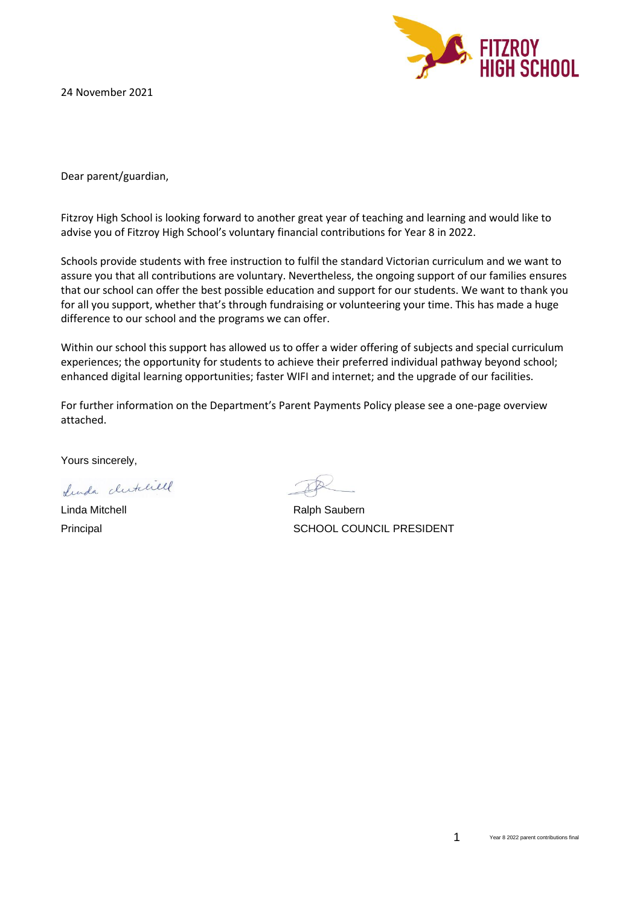24 November 2021



Dear parent/guardian,

Fitzroy High School is looking forward to another great year of teaching and learning and would like to advise you of Fitzroy High School's voluntary financial contributions for Year 8 in 2022.

Schools provide students with free instruction to fulfil the standard Victorian curriculum and we want to assure you that all contributions are voluntary. Nevertheless, the ongoing support of our families ensures that our school can offer the best possible education and support for our students. We want to thank you for all you support, whether that's through fundraising or volunteering your time. This has made a huge difference to our school and the programs we can offer.

Within our school this support has allowed us to offer a wider offering of subjects and special curriculum experiences; the opportunity for students to achieve their preferred individual pathway beyond school; enhanced digital learning opportunities; faster WIFI and internet; and the upgrade of our facilities.

For further information on the Department's Parent Payments Policy please see a one-page overview attached.

Yours sincerely,

Lunda clutchell

Linda Mitchell **Ralph Saubern** Ralph Saubern Principal SCHOOL COUNCIL PRESIDENT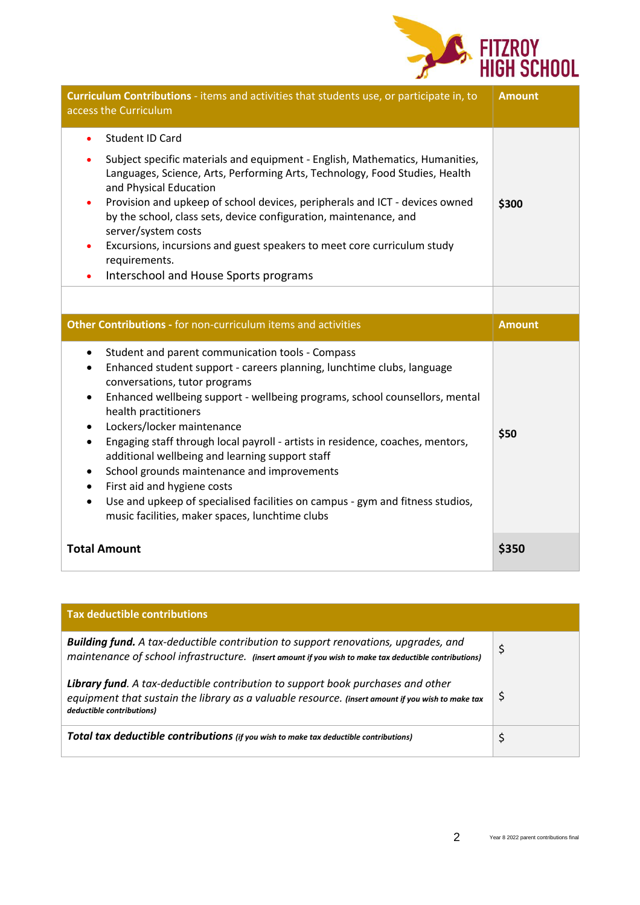

| Curriculum Contributions - items and activities that students use, or participate in, to<br>access the Curriculum                                                                                                                                                                                                                                                                                                                                                                                                                                    | <b>Amount</b> |
|------------------------------------------------------------------------------------------------------------------------------------------------------------------------------------------------------------------------------------------------------------------------------------------------------------------------------------------------------------------------------------------------------------------------------------------------------------------------------------------------------------------------------------------------------|---------------|
| Student ID Card<br>٠<br>Subject specific materials and equipment - English, Mathematics, Humanities,<br>Languages, Science, Arts, Performing Arts, Technology, Food Studies, Health<br>and Physical Education<br>Provision and upkeep of school devices, peripherals and ICT - devices owned<br>٠<br>by the school, class sets, device configuration, maintenance, and<br>server/system costs<br>Excursions, incursions and guest speakers to meet core curriculum study<br>٠<br>requirements.<br>Interschool and House Sports programs<br>$\bullet$ | \$300         |
|                                                                                                                                                                                                                                                                                                                                                                                                                                                                                                                                                      |               |
| Other Contributions - for non-curriculum items and activities                                                                                                                                                                                                                                                                                                                                                                                                                                                                                        | <b>Amount</b> |
| Student and parent communication tools - Compass<br>$\bullet$<br>Enhanced student support - careers planning, lunchtime clubs, language<br>٠<br>conversations, tutor programs<br>Enhanced wellbeing support - wellbeing programs, school counsellors, mental<br>$\bullet$                                                                                                                                                                                                                                                                            |               |
| health practitioners<br>Lockers/locker maintenance<br>$\bullet$<br>Engaging staff through local payroll - artists in residence, coaches, mentors,<br>$\bullet$<br>additional wellbeing and learning support staff<br>School grounds maintenance and improvements<br>$\bullet$<br>First aid and hygiene costs<br>$\bullet$<br>Use and upkeep of specialised facilities on campus - gym and fitness studios,<br>$\bullet$<br>music facilities, maker spaces, lunchtime clubs                                                                           | \$50          |

| <b>Tax deductible contributions</b>                                                                                                                                                                               |     |
|-------------------------------------------------------------------------------------------------------------------------------------------------------------------------------------------------------------------|-----|
| Building fund. A tax-deductible contribution to support renovations, upgrades, and<br>maintenance of school infrastructure. (insert amount if you wish to make tax deductible contributions)                      | \$  |
| Library fund. A tax-deductible contribution to support book purchases and other<br>equipment that sustain the library as a valuable resource. (insert amount if you wish to make tax<br>deductible contributions) | \$, |
| Total tax deductible contributions (if you wish to make tax deductible contributions)                                                                                                                             |     |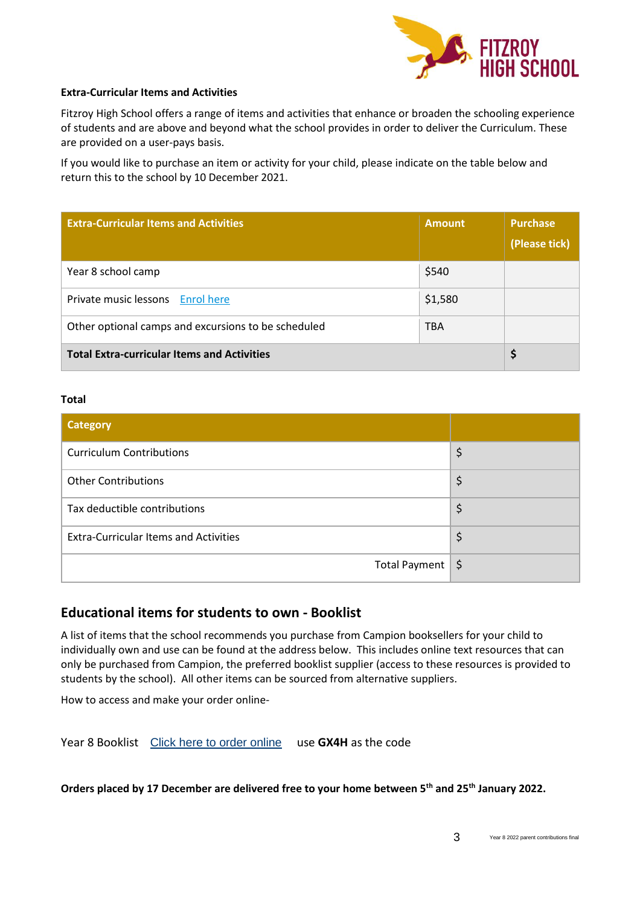

### **Extra-Curricular Items and Activities**

Fitzroy High School offers a range of items and activities that enhance or broaden the schooling experience of students and are above and beyond what the school provides in order to deliver the Curriculum. These are provided on a user-pays basis.

If you would like to purchase an item or activity for your child, please indicate on the table below and return this to the school by 10 December 2021.

| <b>Extra-Curricular Items and Activities</b>        | <b>Amount</b> | <b>Purchase</b><br>(Please tick) |
|-----------------------------------------------------|---------------|----------------------------------|
| Year 8 school camp                                  | \$540         |                                  |
| Private music lessons Enrol here                    | \$1,580       |                                  |
| Other optional camps and excursions to be scheduled | <b>TBA</b>    |                                  |
| <b>Total Extra-curricular Items and Activities</b>  |               |                                  |

### **Total**

| <b>Category</b>                              |    |
|----------------------------------------------|----|
| <b>Curriculum Contributions</b>              | \$ |
| <b>Other Contributions</b>                   | \$ |
| Tax deductible contributions                 | \$ |
| <b>Extra-Curricular Items and Activities</b> | \$ |
| Total Payment $\frac{1}{5}$                  |    |

### **Educational items for students to own - Booklist**

A list of items that the school recommends you purchase from Campion booksellers for your child to individually own and use can be found at the address below. This includes online text resources that can only be purchased from Campion, the preferred booklist supplier (access to these resources is provided to students by the school). All other items can be sourced from alternative suppliers.

How to access and make your order online-

Year 8 Booklist [Click here to order online](https://order.campion.com.au/index.html#resourceListListView?code=P34YMWMC) use **GX4H** as the code

**Orders placed by 17 December are delivered free to your home between 5th and 25th January 2022.**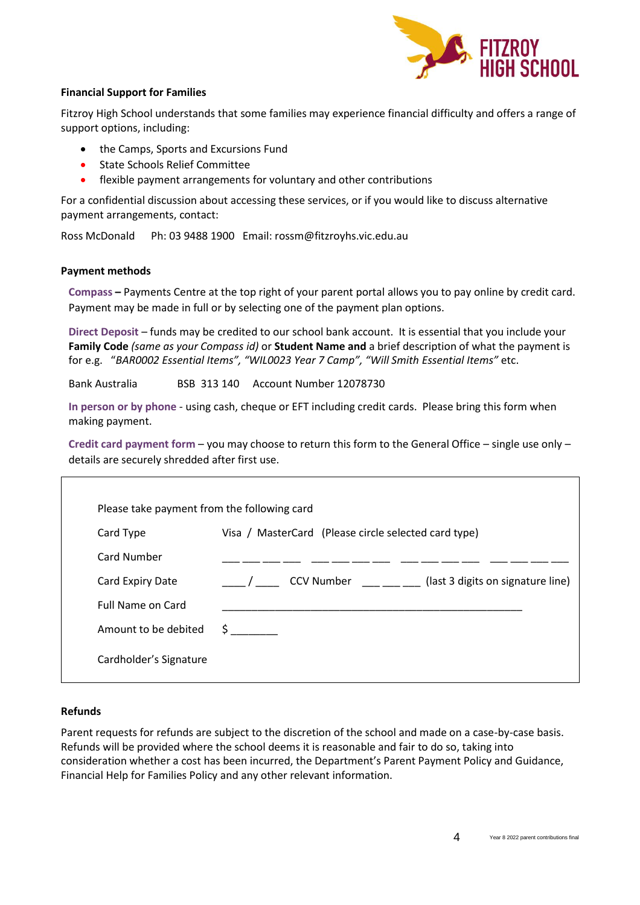

### **Financial Support for Families**

Fitzroy High School understands that some families may experience financial difficulty and offers a range of support options, including:

- the Camps, Sports and Excursions Fund
- State Schools Relief Committee
- flexible payment arrangements for voluntary and other contributions

For a confidential discussion about accessing these services, or if you would like to discuss alternative payment arrangements, contact:

Ross McDonald Ph: 03 9488 1900 Email: rossm@fitzroyhs.vic.edu.au

### **Payment methods**

**Compass –** Payments Centre at the top right of your parent portal allows you to pay online by credit card. Payment may be made in full or by selecting one of the payment plan options.

**Direct Deposit** – funds may be credited to our school bank account. It is essential that you include your **Family Code** *(same as your Compass id)* or **Student Name and** a brief description of what the payment is for e.g. "*BAR0002 Essential Items", "WIL0023 Year 7 Camp", "Will Smith Essential Items"* etc.

Bank Australia BSB 313 140 Account Number 12078730

**In person or by phone** - using cash, cheque or EFT including credit cards. Please bring this form when making payment.

**Credit card payment form** – you may choose to return this form to the General Office – single use only – details are securely shredded after first use.

| Please take payment from the following card |                                                      |                                   |  |
|---------------------------------------------|------------------------------------------------------|-----------------------------------|--|
| Card Type                                   | Visa / MasterCard (Please circle selected card type) |                                   |  |
| <b>Card Number</b>                          |                                                      |                                   |  |
| Card Expiry Date                            | <b>CCV Number</b>                                    | (last 3 digits on signature line) |  |
| <b>Full Name on Card</b>                    |                                                      |                                   |  |
| Amount to be debited                        | $\mathsf{S}$ , and the set of $\mathsf{S}$           |                                   |  |
| Cardholder's Signature                      |                                                      |                                   |  |

### **Refunds**

Parent requests for refunds are subject to the discretion of the school and made on a case-by-case basis. Refunds will be provided where the school deems it is reasonable and fair to do so, taking into consideration whether a cost has been incurred, the Department's Parent Payment Policy and Guidance, Financial Help for Families Policy and any other relevant information.